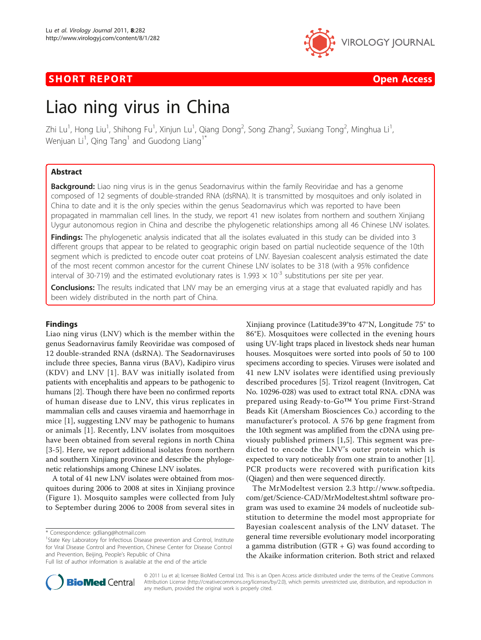## **SHORT REPORT CONSUMING THE OPEN ACCESS**



# Liao ning virus in China

Zhi Lu<sup>1</sup>, Hong Liu<sup>1</sup>, Shihong Fu<sup>1</sup>, Xinjun Lu<sup>1</sup>, Qiang Dong<sup>2</sup>, Song Zhang<sup>2</sup>, Suxiang Tong<sup>2</sup>, Minghua Li<sup>1</sup> , Wenjuan Li $^1$ , Qing Tang $^1$  and Guodong Liang $^{1^\ast}$ 

## Abstract

Background: Liao ning virus is in the genus Seadornavirus within the family Reoviridae and has a genome composed of 12 segments of double-stranded RNA (dsRNA). It is transmitted by mosquitoes and only isolated in China to date and it is the only species within the genus Seadornavirus which was reported to have been propagated in mammalian cell lines. In the study, we report 41 new isolates from northern and southern Xinjiang Uygur autonomous region in China and describe the phylogenetic relationships among all 46 Chinese LNV isolates.

Findings: The phylogenetic analysis indicated that all the isolates evaluated in this study can be divided into 3 different groups that appear to be related to geographic origin based on partial nucleotide sequence of the 10th segment which is predicted to encode outer coat proteins of LNV. Bayesian coalescent analysis estimated the date of the most recent common ancestor for the current Chinese LNV isolates to be 318 (with a 95% confidence interval of 30-719) and the estimated evolutionary rates is 1.993  $\times$  10<sup>-3</sup> substitutions per site per year.

**Conclusions:** The results indicated that LNV may be an emerging virus at a stage that evaluated rapidly and has been widely distributed in the north part of China.

## Findings

Liao ning virus (LNV) which is the member within the genus Seadornavirus family Reoviridae was composed of 12 double-stranded RNA (dsRNA). The Seadornaviruses include three species, Banna virus (BAV), Kadipiro virus (KDV) and LNV [[1\]](#page-3-0). BAV was initially isolated from patients with encephalitis and appears to be pathogenic to humans [\[2\]](#page-3-0). Though there have been no confirmed reports of human disease due to LNV, this virus replicates in mammalian cells and causes viraemia and haemorrhage in mice [[1\]](#page-3-0), suggesting LNV may be pathogenic to humans or animals [\[1](#page-3-0)]. Recently, LNV isolates from mosquitoes have been obtained from several regions in north China [[3](#page-3-0)-[5\]](#page-3-0). Here, we report additional isolates from northern and southern Xinjiang province and describe the phylogenetic relationships among Chinese LNV isolates.

A total of 41 new LNV isolates were obtained from mosquitoes during 2006 to 2008 at sites in Xinjiang province (Figure [1\)](#page-1-0). Mosquito samples were collected from July to September during 2006 to 2008 from several sites in

\* Correspondence: [gdliang@hotmail.com](mailto:gdliang@hotmail.com)

Xinjiang province (Latitude39°to 47°N, Longitude 75° to 86°E). Mosquitoes were collected in the evening hours using UV-light traps placed in livestock sheds near human houses. Mosquitoes were sorted into pools of 50 to 100 specimens according to species. Viruses were isolated and 41 new LNV isolates were identified using previously described procedures [[5\]](#page-3-0). Trizol reagent (Invitrogen, Cat No. 10296-028) was used to extract total RNA. cDNA was prepared using Ready-to-Go™ You prime First-Strand Beads Kit (Amersham Biosciences Co.) according to the manufacturer's protocol. A 576 bp gene fragment from the 10th segment was amplified from the cDNA using previously published primers [[1,5](#page-3-0)]. This segment was predicted to encode the LNV's outer protein which is expected to vary noticeably from one strain to another [[1](#page-3-0)]. PCR products were recovered with purification kits (Qiagen) and then were sequenced directly.

The MrModeltest version 2.3 [http://www.softpedia.](http://www.softpedia.com/get/Science-CAD/MrModeltest.shtml) [com/get/Science-CAD/MrModeltest.shtml](http://www.softpedia.com/get/Science-CAD/MrModeltest.shtml) software program was used to examine 24 models of nucleotide substitution to determine the model most appropriate for Bayesian coalescent analysis of the LNV dataset. The general time reversible evolutionary model incorporating a gamma distribution  $(GTR + G)$  was found according to the Akaike information criterion. Both strict and relaxed



© 2011 Lu et al; licensee BioMed Central Ltd. This is an Open Access article distributed under the terms of the Creative Commons Attribution License [\(http://creativecommons.org/licenses/by/2.0](http://creativecommons.org/licenses/by/2.0)), which permits unrestricted use, distribution, and reproduction in any medium, provided the original work is properly cited.

<sup>&</sup>lt;sup>1</sup>State Key Laboratory for Infectious Disease prevention and Control, Institute for Viral Disease Control and Prevention, Chinese Center for Disease Control and Prevention, Beijing, People's Republic of China

Full list of author information is available at the end of the article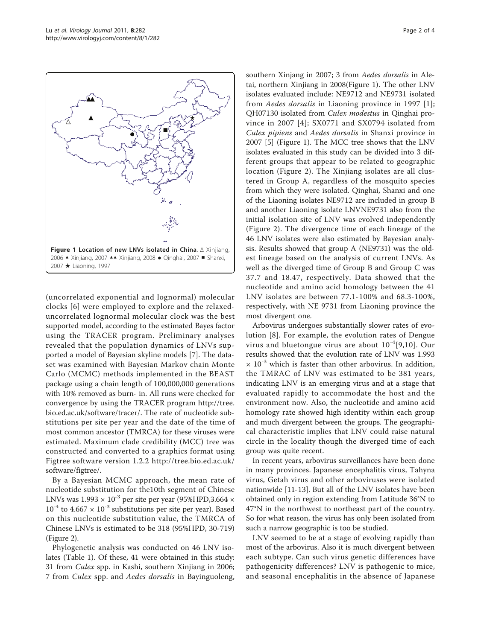<span id="page-1-0"></span>

(uncorrelated exponential and lognormal) molecular clocks [\[6\]](#page-3-0) were employed to explore and the relaxeduncorrelated lognormal molecular clock was the best supported model, according to the estimated Bayes factor using the TRACER program. Preliminary analyses revealed that the population dynamics of LNVs supported a model of Bayesian skyline models [\[7](#page-3-0)]. The dataset was examined with Bayesian Markov chain Monte Carlo (MCMC) methods implemented in the BEAST package using a chain length of 100,000,000 generations with 10% removed as burn- in. All runs were checked for convergence by using the TRACER program [http://tree.](http://tree.bio.ed.ac.uk/software/tracer/) [bio.ed.ac.uk/software/tracer/.](http://tree.bio.ed.ac.uk/software/tracer/) The rate of nucleotide substitutions per site per year and the date of the time of most common ancestor (TMRCA) for these viruses were estimated. Maximum clade credibility (MCC) tree was constructed and converted to a graphics format using Figtree software version 1.2.2 [http://tree.bio.ed.ac.uk/](http://tree.bio.ed.ac.uk/software/figtree/) [software/figtree/](http://tree.bio.ed.ac.uk/software/figtree/).

By a Bayesian MCMC approach, the mean rate of nucleotide substitution for the10th segment of Chinese LNVs was  $1.993 \times 10^{-3}$  per site per year (95%HPD,3.664  $\times$  $10^{-4}$  to  $4.667 \times 10^{-3}$  substitutions per site per year). Based on this nucleotide substitution value, the TMRCA of Chinese LNVs is estimated to be 318 (95%HPD, 30-719) (Figure [2](#page-2-0)).

Phylogenetic analysis was conducted on 46 LNV isolates (Table [1\)](#page-2-0). Of these, 41 were obtained in this study: 31 from Culex spp. in Kashi, southern Xinjiang in 2006; 7 from Culex spp. and Aedes dorsalis in Bayinguoleng, southern Xinjang in 2007; 3 from Aedes dorsalis in Aletai, northern Xinjiang in 2008(Figure 1). The other LNV isolates evaluated include: NE9712 and NE9731 isolated from Aedes dorsalis in Liaoning province in 1997 [[1](#page-3-0)]; QH07130 isolated from Culex modestus in Qinghai province in 2007 [[4](#page-3-0)]; SX0771 and SX0794 isolated from Culex pipiens and Aedes dorsalis in Shanxi province in 2007 [\[5](#page-3-0)] (Figure 1). The MCC tree shows that the LNV isolates evaluated in this study can be divided into 3 different groups that appear to be related to geographic location (Figure [2](#page-2-0)). The Xinjiang isolates are all clustered in Group A, regardless of the mosquito species from which they were isolated. Qinghai, Shanxi and one of the Liaoning isolates NE9712 are included in group B and another Liaoning isolate LNVNE9731 also from the initial isolation site of LNV was evolved independently (Figure [2\)](#page-2-0). The divergence time of each lineage of the 46 LNV isolates were also estimated by Bayesian analysis. Results showed that group A (NE9731) was the oldest lineage based on the analysis of current LNVs. As well as the diverged time of Group B and Group C was 37.7 and 18.47, respectively. Data showed that the nucleotide and amino acid homology between the 41 LNV isolates are between 77.1-100% and 68.3-100%, respectively, with NE 9731 from Liaoning province the most divergent one.

Arbovirus undergoes substantially slower rates of evolution [[8\]](#page-3-0). For example, the evolution rates of Dengue virus and bluetongue virus are about  $10^{-4}$ [[9,10\]](#page-3-0). Our results showed that the evolution rate of LNV was 1.993  $\times$  10<sup>-3</sup> which is faster than other arbovirus. In addition, the TMRAC of LNV was estimated to be 381 years, indicating LNV is an emerging virus and at a stage that evaluated rapidly to accommodate the host and the environment now. Also, the nucleotide and amino acid homology rate showed high identity within each group and much divergent between the groups. The geographical characteristic implies that LNV could raise natural circle in the locality though the diverged time of each group was quite recent.

In recent years, arbovirus surveillances have been done in many provinces. Japanese encephalitis virus, Tahyna virus, Getah virus and other arboviruses were isolated nationwide [[11-13\]](#page-3-0). But all of the LNV isolates have been obtained only in region extending from Latitude 36°N to 47°N in the northwest to northeast part of the country. So for what reason, the virus has only been isolated from such a narrow geographic is too be studied.

LNV seemed to be at a stage of evolving rapidly than most of the arbovirus. Also it is much divergent between each subtype. Can such virus genetic differences have pathogenicity differences? LNV is pathogenic to mice, and seasonal encephalitis in the absence of Japanese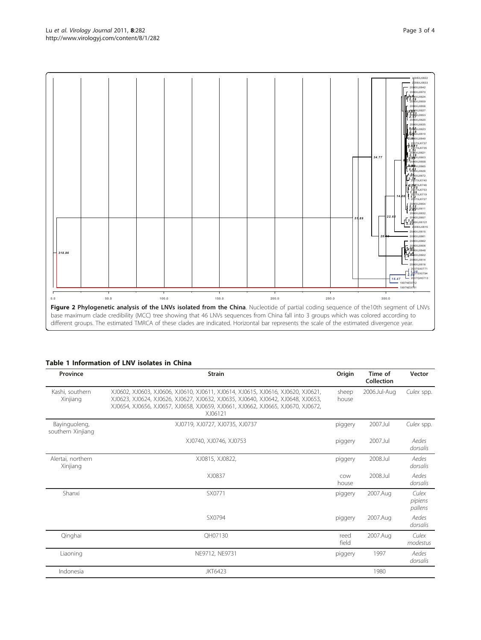<span id="page-2-0"></span>

## Table 1 Information of LNV isolates in China

| Province                           | <b>Strain</b>                                                                                                                                                                                                                                                    | Origin         | Time of<br>Collection | Vector                      |
|------------------------------------|------------------------------------------------------------------------------------------------------------------------------------------------------------------------------------------------------------------------------------------------------------------|----------------|-----------------------|-----------------------------|
| Kashi, southern<br>Xinjiang        | XJ0602, XJ0603, XJ0606, XJ0610, XJ0611, XJ0614, XJ0615, XJ0616, XJ0620, XJ0621,<br>XJ0623, XJ0624, XJ0626, XJ0627, XJ0632, XJ0635, XJ0640, XJ0642, XJ0648, XJ0653,<br>XJ0654, XJ0656, XJ0657, XJ0658, XJ0659, XJ0661, XJ0662, XJ0665, XJ0670, XJ0672,<br>XJ06121 | sheep<br>house | 2006.Jul-Aug          | Culex spp.                  |
| Bayinguoleng,<br>southern Xinjiang | XJ0719, XJ0727, XJ0735, XJ0737                                                                                                                                                                                                                                   | piggery        | 2007.Jul              | Culex spp.                  |
|                                    | XJ0740, XJ0746, XJ0753                                                                                                                                                                                                                                           | piggery        | 2007.Jul              | Aedes<br>dorsalis           |
| Alertai, northern<br>Xinjiang      | XJ0815, XJ0822,                                                                                                                                                                                                                                                  | piggery        | 2008.Jul              | Aedes<br>dorsalis           |
|                                    | XJ0837                                                                                                                                                                                                                                                           | COW<br>house   | 2008.Jul              | Aedes<br>dorsalis           |
| Shanxi                             | SX0771                                                                                                                                                                                                                                                           | piggery        | 2007.Aug              | Culex<br>pipiens<br>pallens |
|                                    | SX0794                                                                                                                                                                                                                                                           | piggery        | 2007.Aug              | Aedes<br>dorsalis           |
| Qinghai                            | OH07130                                                                                                                                                                                                                                                          | reed<br>field  | 2007.Aug              | Culex<br>modestus           |
| Liaoning                           | NE9712, NE9731                                                                                                                                                                                                                                                   | piggery        | 1997                  | Aedes<br>dorsalis           |
| Indonesia                          | <b>JKT6423</b>                                                                                                                                                                                                                                                   |                | 1980                  |                             |